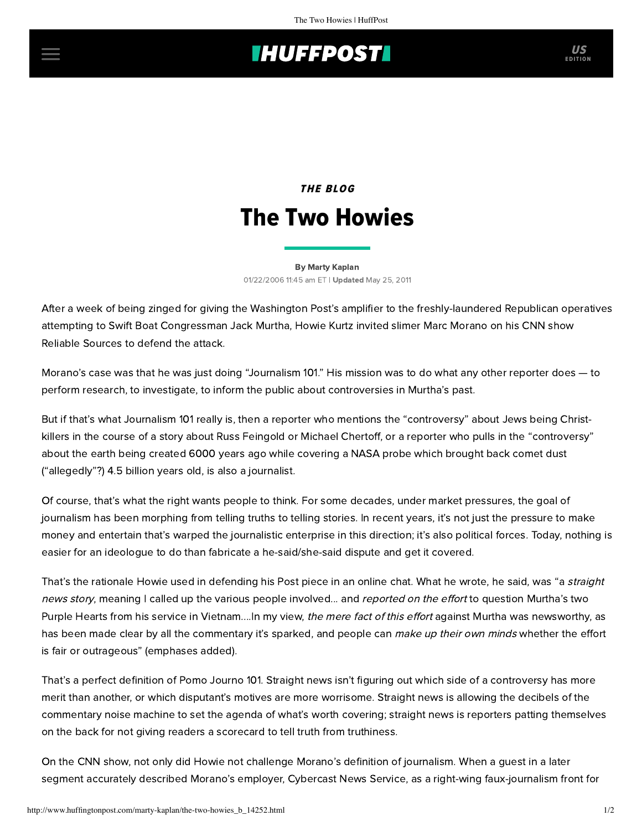## **INUFFPOSTI** US

## THE BLOG The Two Howies

[By Marty Kaplan](http://www.huffingtonpost.com/author/marty-kaplan) 01/22/2006 11:45 am ET | Updated May 25, 2011

After a week of being zinged for [giving the Washington Post's amplifier t](http://www.washingtonpost.com/wp-dyn/content/article/2006/01/13/AR2006011301736_pf.html)o the freshly-laundered Republican operatives [attempting to Swift Boat Congressman Jack Murtha, Howie Kurtz invited slimer Marc Morano on his CNN show](http://transcripts.cnn.com/TRANSCRIPTS/0601/22/rs.01.html) Reliable Sources to defend the attack.

Morano's case was that he was just doing "Journalism 101." His mission was to do what any other reporter does — to perform research, to investigate, to inform the public about controversies in Murtha's past.

But if that's what Journalism 101 really is, then a reporter who mentions the "controversy" about Jews being Christkillers in the course of a story about Russ Feingold or Michael Chertoff, or a reporter who pulls in the "controversy" about the earth being created 6000 years ago while covering a NASA probe which brought back comet dust ("allegedly"?) 4.5 billion years old, is also a journalist.

Of course, that's what the right wants people to think. For some decades, under market pressures, the goal of journalism has been morphing from telling truths to telling stories. In recent years, it's not just the pressure to make money and entertain that's warped the journalistic enterprise in this direction; it's also political forces. Today, nothing is easier for an ideologue to do than fabricate a he-said/she-said dispute and get it covered.

That's the rationale Howie used in defending his Post piece in an [online chat](http://www.washingtonpost.com/wp-dyn/content/discussion/2006/01/10/DI2006011000885.html?nav=left). What he wrote, he said, was "a straight news story, meaning I called up the various people involved... and reported on the effort to question Murtha's two Purple Hearts from his service in Vietnam....In my view, the mere fact of this effort against Murtha was newsworthy, as has been made clear by all the commentary it's sparked, and people can make up their own minds whether the effort is fair or outrageous" (emphases added).

That's a perfect definition of Pomo Journo 101. Straight news isn't figuring out which side of a controversy has more merit than another, or which disputant's motives are more worrisome. Straight news is allowing the decibels of the commentary noise machine to set the agenda of what's worth covering; straight news is reporters patting themselves on the back for not giving readers a scorecard to tell truth from truthiness.

On the CNN show, not only did Howie not challenge Morano's definition of journalism. When a guest in a later segment accurately described Morano's employer, Cybercast News Service, as a right-wing faux-journalism front for